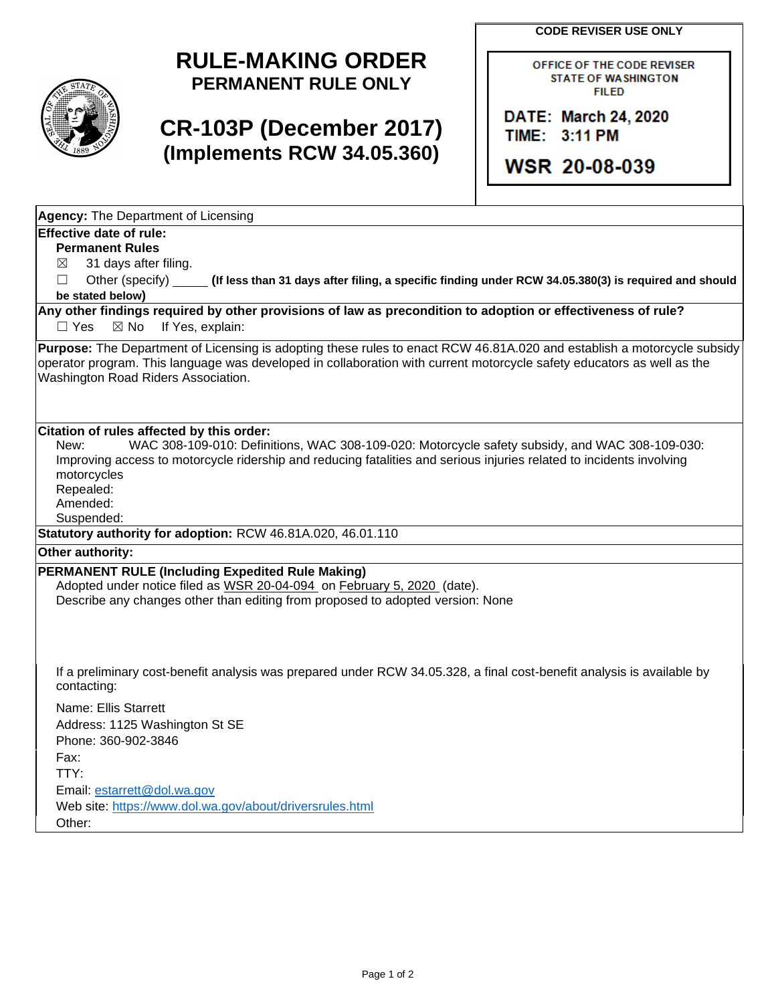**CODE REVISER USE ONLY**



## **RULE-MAKING ORDER PERMANENT RULE ONLY**

# **CR-103P (December 2017) (Implements RCW 34.05.360)**

OFFICE OF THE CODE REVISER **STATE OF WASHINGTON FILED** 

DATE: March 24, 2020 TIME: 3:11 PM

**WSR 20-08-039** 

**Agency:** The Department of Licensing

### **Effective date of rule:**

**Permanent Rules**

 $\boxtimes$  31 days after filing.

☐ Other (specify) **(If less than 31 days after filing, a specific finding under RCW 34.05.380(3) is required and should be stated below)**

**Any other findings required by other provisions of law as precondition to adoption or effectiveness of rule?** □ Yes ⊠ No If Yes, explain:

**Purpose:** The Department of Licensing is adopting these rules to enact RCW 46.81A.020 and establish a motorcycle subsidy operator program. This language was developed in collaboration with current motorcycle safety educators as well as the Washington Road Riders Association.

#### **Citation of rules affected by this order:**

New: WAC 308-109-010: Definitions, WAC 308-109-020: Motorcycle safety subsidy, and WAC 308-109-030: Improving access to motorcycle ridership and reducing fatalities and serious injuries related to incidents involving motorcycles

Repealed:

Amended:

Suspended:

**Statutory authority for adoption:** RCW 46.81A.020, 46.01.110

**Other authority:** 

### **PERMANENT RULE (Including Expedited Rule Making)**

Adopted under notice filed as WSR 20-04-094 on February 5, 2020 (date). Describe any changes other than editing from proposed to adopted version: None

If a preliminary cost-benefit analysis was prepared under RCW 34.05.328, a final cost-benefit analysis is available by contacting:

Name: Ellis Starrett Address: 1125 Washington St SE Phone: 360-902-3846 Fax: TTY: Email: [estarrett@dol.wa.gov](mailto:estarrett@dol.wa.gov) Web site:<https://www.dol.wa.gov/about/driversrules.html> Other: